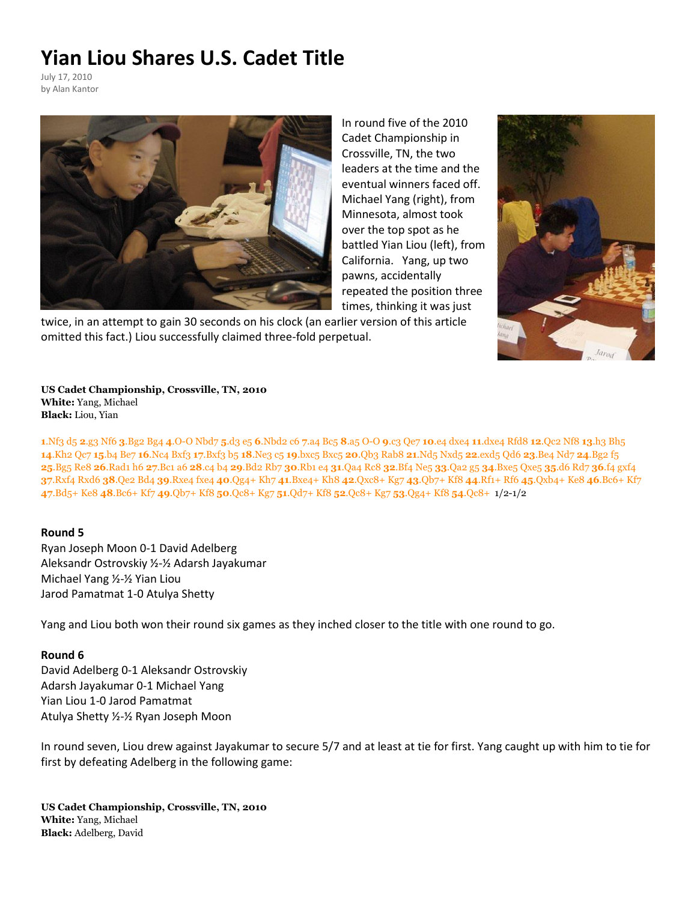## **Yian Liou Shares U.S. Cadet Title**

July 17, 2010 by Alan Kantor



In round five of the 2010 Cadet Championship in Crossville, TN, the two leaders at the time and the eventual winners faced off. Michael Yang (right), from Minnesota, almost took over the top spot as he battled Yian Liou (left), from California. Yang, up two pawns, accidentally repeated the position three times, thinking it was just

twice, in an attempt to gain 30 seconds on his clock (an earlier version of this article omitted this fact.) Liou successfully claimed three-fold perpetual.



**US Cadet Championship, Crossville, TN, 2010 White:** Yang, Michael **Black:** Liou, Yian

[.Nf3](javascript:g0(1,0)) [d5](javascript:g0(2,0)) **2**[.g3](javascript:g0(3,0)) [Nf6](javascript:g0(4,0)) **3**[.Bg2](javascript:g0(5,0)) [Bg4](javascript:g0(6,0)) **4**[.O-O](javascript:g0(7,0)) [Nbd7](javascript:g0(8,0)) **5**[.d3](javascript:g0(9,0)) [e5](javascript:g0(10,0)) **6**[.Nbd2](javascript:g0(11,0)) [c6](javascript:g0(12,0)) **7**[.a4](javascript:g0(13,0)) [Bc5](javascript:g0(14,0)) **8**[.a5](javascript:g0(15,0)) [O-O](javascript:g0(16,0)) **9**[.c3](javascript:g0(17,0)) [Qe7](javascript:g0(18,0)) **10**[.e4](javascript:g0(19,0)) [dxe4](javascript:g0(20,0)) **11**[.dxe4](javascript:g0(21,0)) [Rfd8](javascript:g0(22,0)) **12**[.Qc2](javascript:g0(23,0)) [Nf8](javascript:g0(24,0)) **13**[.h3](javascript:g0(25,0)) [Bh5](javascript:g0(26,0)) [.Kh2](javascript:g0(27,0)) [Qc7](javascript:g0(28,0)) **15**[.b4](javascript:g0(29,0)) [Be7](javascript:g0(30,0)) **16**[.Nc4](javascript:g0(31,0)) [Bxf3](javascript:g0(32,0)) **17**[.Bxf3](javascript:g0(33,0)) [b5](javascript:g0(34,0)) **18**[.Ne3](javascript:g0(35,0)) [c5](javascript:g0(36,0)) **19**[.bxc5](javascript:g0(37,0)) [Bxc5](javascript:g0(38,0)) **20**[.Qb3](javascript:g0(39,0)) [Rab8](javascript:g0(40,0)) **21**[.Nd5](javascript:g0(41,0)) [Nxd5](javascript:g0(42,0)) **22**[.exd5](javascript:g0(43,0)) [Qd6](javascript:g0(44,0)) **23**[.Be4](javascript:g0(45,0)) [Nd7](javascript:g0(46,0)) **24**[.Bg2](javascript:g0(47,0)) [f5](javascript:g0(48,0)) [.Bg5](javascript:g0(49,0)) [Re8](javascript:g0(50,0)) **26**[.Rad1](javascript:g0(51,0)) [h6](javascript:g0(52,0)) **27**[.Bc1](javascript:g0(53,0)) [a6](javascript:g0(54,0)) **[28](javascript:g0(55,0))**.c4 [b4](javascript:g0(56,0)) **29**[.Bd2](javascript:g0(57,0)) [Rb7](javascript:g0(58,0)) **30**[.Rb1](javascript:g0(59,0)) [e4](javascript:g0(60,0)) **31**[.Qa4](javascript:g0(61,0)) [Rc8](javascript:g0(62,0)) **32**[.Bf4](javascript:g0(63,0)) [Ne5](javascript:g0(64,0)) **33**[.Qa2](javascript:g0(65,0)) [g5](javascript:g0(66,0)) **34**[.Bxe5](javascript:g0(67,0)) [Qxe5](javascript:g0(68,0)) **35**[.d6](javascript:g0(69,0)) [Rd7](javascript:g0(70,0)) **[36](javascript:g0(71,0))**.f4 [gxf4](javascript:g0(72,0)) [.Rxf4](javascript:g0(73,0)) [Rxd6](javascript:g0(74,0)) **38**[.Qe2](javascript:g0(75,0)) [Bd4](javascript:g0(76,0)) **39**[.Rxe4](javascript:g0(77,0)) [fxe4](javascript:g0(78,0)) **40**[.Qg4+](javascript:g0(79,0)) [Kh7](javascript:g0(80,0)) **41**[.Bxe4+](javascript:g0(81,0)) [Kh8](javascript:g0(82,0)) **42**[.Qxc8+](javascript:g0(83,0)) [Kg7](javascript:g0(84,0)) **43**[.Qb7+](javascript:g0(85,0)) [Kf8](javascript:g0(86,0)) **44**[.Rf1+](javascript:g0(87,0)) [Rf6](javascript:g0(88,0)) **45**[.Qxb4+](javascript:g0(89,0)) [Ke8](javascript:g0(90,0)) **46**[.Bc6+](javascript:g0(91,0)) [Kf7](javascript:g0(92,0)) [.Bd5+](javascript:g0(93,0)) [Ke8](javascript:g0(94,0)) **48**[.Bc6+](javascript:g0(95,0)) [Kf7](javascript:g0(96,0)) **49**[.Qb7+](javascript:g0(97,0)) [Kf8](javascript:g0(98,0)) **50**[.Qc8+](javascript:g0(99,0)) [Kg7](javascript:g0(100,0)) **51**[.Qd7+](javascript:g0(101,0)) [Kf8](javascript:g0(102,0)) **52**[.Qc8+](javascript:g0(103,0)) [Kg7](javascript:g0(104,0)) **53**[.Qg4+](javascript:g0(105,0)) [Kf8](javascript:g0(106,0)) **54**[.Qc8+](javascript:g0(107,0)) 1/2-1/2

## **Round 5**

Ryan Joseph Moon 0-1 David Adelberg Aleksandr Ostrovskiy ½-½ Adarsh Jayakumar Michael Yang ½-½ Yian Liou Jarod Pamatmat 1-0 Atulya Shetty

Yang and Liou both won their round six games as they inched closer to the title with one round to go.

## **Round 6**

David Adelberg 0-1 Aleksandr Ostrovskiy Adarsh Jayakumar 0-1 Michael Yang Yian Liou 1-0 Jarod Pamatmat Atulya Shetty ½-½ Ryan Joseph Moon

In round seven, Liou drew against Jayakumar to secure 5/7 and at least at tie for first. Yang caught up with him to tie for first by defeating Adelberg in the following game:

**US Cadet Championship, Crossville, TN, 2010 White:** Yang, Michael **Black:** Adelberg, David